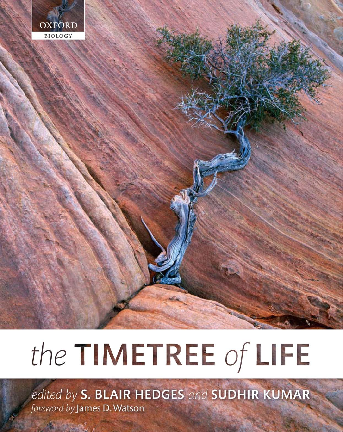

# the TIMETREE of LIFE

edited by S. BLAIR HEDGES and SUDHIR KUMAR foreword by James D. Watson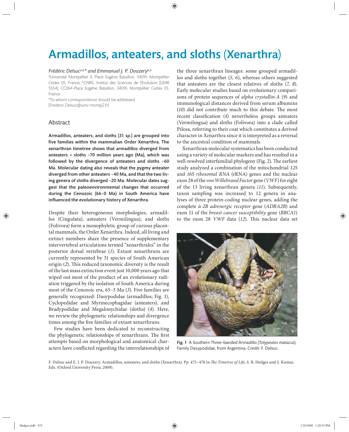# Armadillos, anteaters, and sloths (Xenarthra)

#### *Frédéric Delsuca,b,\* and Emmanuel J. P. Douzerya,b*

a Université Montpellier II, Place Eugène Bataillon, 34095 Montpellier Cedex 05, France; <sup>b</sup>CNRS, Institut des Sciences de l'Evolution (UMR 5554), CC064-Place Eugène Bataillon, 34095 Montpellier Cedex 05, France

\*To whom correspondence should be addressed (Frederic.Delsuc@univ-montp2.fr)

## Abstract

Armadillos, anteaters, and sloths (31 sp.) are grouped into five families within the mammalian Order Xenarthra. The xenarthran timetree shows that armadillos diverged from anteaters + sloths  $~5$ 70 million years ago (Ma), which was followed by the divergence of anteaters and sloths  $~60$ Ma. Molecular dating also reveals that the pygmy anteater diverged from other anteaters ~40 Ma, and that the two living genera of sloths diverged ~20 Ma. Molecular dates suggest that the paleoenvironmental changes that occurred during the Cenozoic (66-0 Ma) in South America have influenced the evolutionary history of Xenarthra.

Despite their heterogeneous morphologies, armadillos (Cingulata), anteaters (Vermilingua), and sloths (Folivora) form a monophyletic group of curious placental mammals, the Order Xenarthra. Indeed, all living and extinct members share the presence of supplementary intervertebral articulations termed "xenarthrales" in the posterior dorsal vertebrae (*1*). Extant xenarthrans are currently represented by 31 species of South American origin (2). This reduced taxonomic diversity is the result of the last mass extinction event just 10,000 years ago that wiped out most of the product of an evolutionary radiation triggered by the isolation of South America during most of the Cenozoic era, 65–3 Ma (*3*). Five families are generally recognized: Dasypodidae (armadillos; Fig. 1), Cyclopedidae and Myrmecophagidae (anteaters), and Bradypodidae and Megalonychidae (sloths) (*4*). Here, we review the phylogenetic relationships and divergence times among the five families of extant xenarthrans.

Few studies have been dedicated to reconstructing the phylogenetic relationships of xenarthrans. The first attempts based on morphological and anatomical characters have conflicted regarding the interrelationships of the three xenarthran lineages: some grouped armadillos and sloths together (*5, 6*), whereas others suggested that anteaters are the closest relatives of sloths (*7, 8*). Early molecular studies based on evolutionary comparisons of protein sequences of *alpha crystallin-A* (*9*) and immunological distances derived from serum albumins  $(10)$  did not contribute much to this debate. The most recent classification (4) nevertheless groups anteaters (Vermilingua) and sloths (Folivora) into a clade called Pilosa, referring to their coat which constitutes a derived character in Xenarthra since it is interpreted as a reversal to the ancestral condition of mammals.

Xenarthran molecular systematics has been conducted using a variety of molecular markers and has resulted in a well-resolved interfamilial phylogeny (Fig. 2). The earliest study analyzed a combination of the mitochondrial *12S*  and *16S ribosomal RNA* (rRNA) genes and the nuclear exon 28 of the *von Willebrand Factor* gene (*VWF*) for eight of the 13 living xenarthran genera (*11*). Subsequently, taxon sampling was increased to 12 genera in analyses of three protein-coding nuclear genes, adding the complete *ά-2B adrenergic receptor* gene (*ADRA2B*) and exon 11 of the *breast cancer susceptibility* gene (*BRCA1*) to the exon 28 *VWF* data (12). This nuclear data set



Fig. 1 A Southern Three-banded Armadillo (*Tolypeutes matacus*), Family Dasypodidae, from Argentina. Credit: F. Delsuc.

F. Delsuc and E. J. P. Douzery. Armadillos, anteaters, and sloths (Xenarthra). Pp. 475-478 in The Timetree of Life, S. B. Hedges and S. Kumar, Eds. (Oxford University Press, 2009).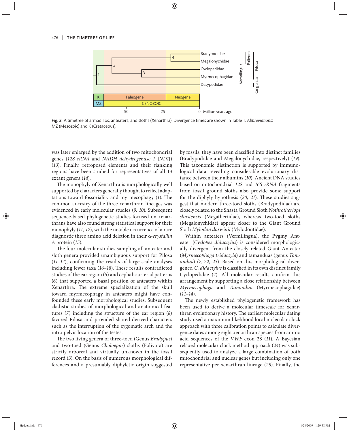

Fig. 2 A timetree of armadillos, anteaters, and sloths (Xenarthra). Divergence times are shown in Table 1. *Abbreviations*: MZ (Mesozoic) and K (Cretaceous).

was later enlarged by the addition of two mitochondrial genes (*12S rRNA* and *NADH dehydrogenase 1* [*ND1*]) (13). Finally, retroposed elements and their flanking regions have been studied for representatives of all 13 extant genera (*14*).

The monophyly of Xenarthra is morphologically well supported by characters generally thought to reflect adaptations toward fossoriality and myrmecophagy (1). The common ancestry of the three xenarthran lineages was evidenced in early molecular studies (*9, 10*). Subsequent sequence-based phylogenetic studies focused on xenarthrans have also found strong statistical support for their monophyly (*11, 12*), with the notable occurrence of a rare diagnostic three amino acid deletion in their α*-crystallin A* protein (*15*).

The four molecular studies sampling all anteater and sloth genera provided unambiguous support for Pilosa (11-14), confirming the results of large-scale analyses including fewer taxa (16–18). These results contradicted studies of the ear region (*5*) and cephalic arterial patterns (*6*) that supported a basal position of anteaters within Xenarthra. The extreme specialization of the skull toward myrmecophagy in anteaters might have confounded these early morphological studies. Subsequent cladistic studies of morphological and anatomical features (*7*) including the structure of the ear region (*8*) favored Pilosa and provided shared-derived characters such as the interruption of the zygomatic arch and the intra-pelvic location of the testes.

The two living genera of three-toed (Genus *Bradypus*) and two-toed (Genus *Choloepus*) sloths (Folivora) are strictly arboreal and virtually unknown in the fossil record (*3*). On the basis of numerous morphological differences and a presumably diphyletic origin suggested by fossils, they have been classified into distinct families (Bradypodidae and Megalonychidae, respectively) (*19*). This taxonomic distinction is supported by immunological data revealing considerable evolutionary distance between their albumins (*10*). Ancient DNA studies based on mitochondrial *12S* and *16S rRNA* fragments from fossil ground sloths also provide some support for the diphyly hypothesis (20, 21). These studies suggest that modern three-toed sloths (Bradypodidae) are closely related to the Shasta Ground Sloth *Nothrotheriops shastensis* (Megatheriidae), whereas two-toed sloths (Megalonychidae) appear closer to the Giant Ground Sloth *Mylodon darwinii* (Mylodontidae).

Within anteaters (Vermilingua), the Pygmy Anteater (*Cyclopes didactylus*) is considered morphologically divergent from the closely related Giant Anteater (*Myrmecophaga tridactyla*) and tamanduas (genus *Tamandua*) (*7, 22, 23*). Based on this morphological divergence, *C. didactylus* is classified in its own distinct family Cyclopedidae (4). All molecular results confirm this arrangement by supporting a close relationship between *Myrmecophaga* and *Tamandua* (Myrmecophagidae) (*11–14*).

The newly established phylogenetic framework has been used to derive a molecular timescale for xenarthran evolutionary history. The earliest molecular dating study used a maximum likelihood local molecular clock approach with three calibration points to calculate divergence dates among eight xenarthran species from amino acid sequences of the *VWF* exon 28 (11). A Bayesian relaxed molecular clock method approach (*24*) was subsequently used to analyze a large combination of both mitochondrial and nuclear genes but including only one representative per xenarthran lineage (*25*). Finally, the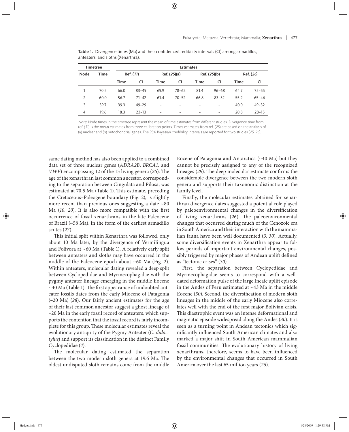| <b>Timetree</b> |      | <b>Estimates</b> |           |                          |                          |      |           |      |           |
|-----------------|------|------------------|-----------|--------------------------|--------------------------|------|-----------|------|-----------|
|                 |      |                  |           |                          |                          |      |           |      |           |
|                 |      | Time             | CI        | Time                     | CI                       | Time | CI        | Time | CI        |
|                 | 70.5 | 66.0             | $83 - 49$ | 69.9                     | $78 - 62$                | 81.4 | $96 - 68$ | 64.7 | $75 - 55$ |
| $\overline{2}$  | 60.0 | 56.7             | $71 - 42$ | 61.4                     | $70 - 52$                | 66.8 | $83 - 52$ | 55.2 | $65 - 46$ |
| 3               | 39.7 | 39.3             | $49 - 29$ | $\overline{\phantom{0}}$ | $\overline{\phantom{0}}$ | -    | -         | 40.0 | $49 - 32$ |
| 4               | 19.6 | 18.3             | $23 - 13$ | $\overline{\phantom{0}}$ | $\overline{\phantom{0}}$ | -    | -         | 20.8 | $28 - 15$ |

Table 1. Divergence times (Ma) and their confidence/credibility intervals (CI) among armadillos, anteaters, and sloths (Xenarthra).

Note: Node times in the timetree represent the mean of time estimates from different studies. Divergence time from ref.  $(11)$  is the mean estimates from three calibration points. Times estimates from ref.  $(25)$  are based on the analysis of (a) nuclear and (b) mitochondrial genes. The 95% Bayesian credibility intervals are reported for two studies (25, 26).

same dating method has also been applied to a combined data set of three nuclear genes (*ADRA2B*, *BRCA1*, and *VWF*) encompassing 12 of the 13 living genera (26). The age of the xenarthran last common ancestor, corresponding to the separation between Cingulata and Pilosa, was estimated at 70.5 Ma (Table 1). This estimate, preceding the Cretaceous*–*Paleogene boundary (Fig. 2), is slightly more recent than previous ones suggesting a date  $~80$ Ma (10, 20). It is also more compatible with the first occurrence of fossil xenarthrans in the late Paleocene of Brazil (~58 Ma), in the form of the earliest armadillo scutes (*27*).

This initial split within Xenarthra was followed, only about 10 Ma later, by the divergence of Vermilingua and Folivora at ~60 Ma (Table 1). A relatively early split between anteaters and sloths may have occurred in the middle of the Paleocene epoch about ~60 Ma (Fig. 2). Within anteaters, molecular dating revealed a deep split between Cyclopedidae and Myrmecophagidae with the pygmy anteater lineage emerging in the middle Eocene  $\sim$  40 Ma (Table 1). The first appearance of undoubted anteater fossils dates from the early Miocene of Patagonia (~20 Ma) (28). Our fairly ancient estimates for the age of their last common ancestor suggest a ghost lineage of ~20 Ma in the early fossil record of anteaters, which supports the contention that the fossil record is fairly incomplete for this group. These molecular estimates reveal the evolutionary antiquity of the Pygmy Anteater (*C. didactylus*) and support its classification in the distinct Family Cyclopedidae (*4*).

The molecular dating estimated the separation between the two modern sloth genera at 19.6 Ma. The oldest undisputed sloth remains come from the middle Eocene of Patagonia and Antarctica (~40 Ma) but they cannot be precisely assigned to any of the recognized lineages (29). The deep molecular estimate confirms the considerable divergence between the two modern sloth genera and supports their taxonomic distinction at the family level.

Finally, the molecular estimates obtained for xenarthran divergence dates suggested a potential role played by paleoenvironmental changes in the diversification of living xenarthrans (26). The paleoenvironmental changes that occurred during much of the Cenozoic era in South America and their interaction with the mammalian fauna have been well documented (*3, 30*). Actually, some diversification events in Xenarthra appear to follow periods of important environmental changes, possibly triggered by major phases of Andean uplift defined as "tectonic crises" (*30*).

First, the separation between Cyclopedidae and Myrmecophagidae seems to correspond with a welldated deformation pulse of the large Incaic uplift episode in the Andes of Peru estimated at ~43 Ma in the middle Eocene (30). Second, the diversification of modern sloth lineages in the middle of the early Miocene also correlates well with the end of the first major Bolivian crisis. This diastrophic event was an intense deformational and magmatic episode widespread along the Andes (*30*). It is seen as a turning point in Andean tectonics which significantly influenced South American climates and also marked a major shift in South American mammalian fossil communities. The evolutionary history of living xenarthrans, therefore, seems to have been influenced by the environmental changes that occurred in South America over the last 65 million years (*26*).